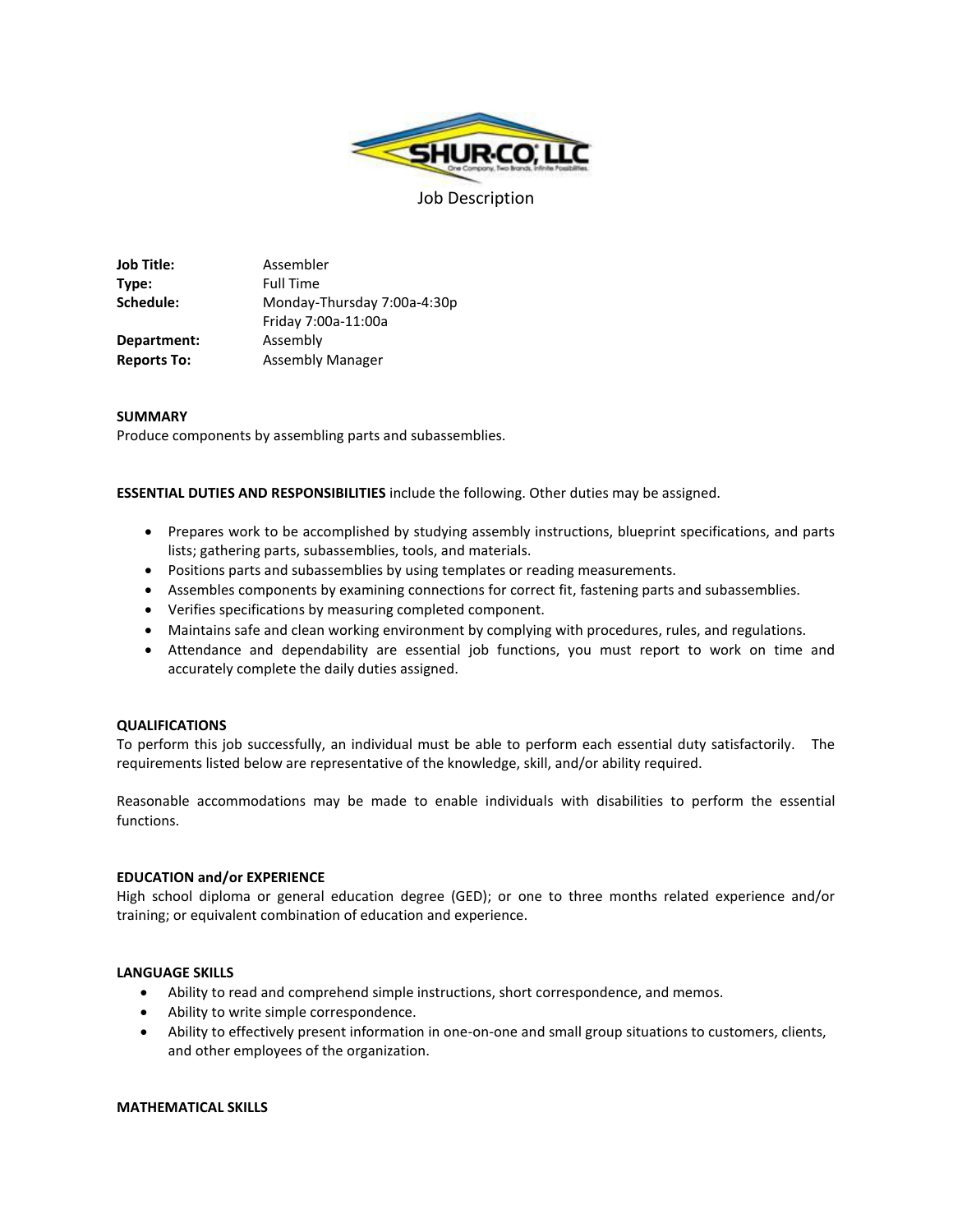

**Job Title:** Assembler **Type:** Full Time **Schedule:** Monday-Thursday 7:00a-4:30p Friday 7:00a-11:00a **Department:** Assembly **Reports To:** Assembly Manager

# **SUMMARY**

Produce components by assembling parts and subassemblies.

**ESSENTIAL DUTIES AND RESPONSIBILITIES** include the following. Other duties may be assigned.

- Prepares work to be accomplished by studying assembly instructions, blueprint specifications, and parts lists; gathering parts, subassemblies, tools, and materials.
- Positions parts and subassemblies by using templates or reading measurements.
- Assembles components by examining connections for correct fit, fastening parts and subassemblies.
- Verifies specifications by measuring completed component.
- Maintains safe and clean working environment by complying with procedures, rules, and regulations.
- Attendance and dependability are essential job functions, you must report to work on time and accurately complete the daily duties assigned.

## **QUALIFICATIONS**

To perform this job successfully, an individual must be able to perform each essential duty satisfactorily. The requirements listed below are representative of the knowledge, skill, and/or ability required.

Reasonable accommodations may be made to enable individuals with disabilities to perform the essential functions.

## **EDUCATION and/or EXPERIENCE**

High school diploma or general education degree (GED); or one to three months related experience and/or training; or equivalent combination of education and experience.

## **LANGUAGE SKILLS**

- Ability to read and comprehend simple instructions, short correspondence, and memos.
- Ability to write simple correspondence.
- Ability to effectively present information in one-on-one and small group situations to customers, clients, and other employees of the organization.

## **MATHEMATICAL SKILLS**